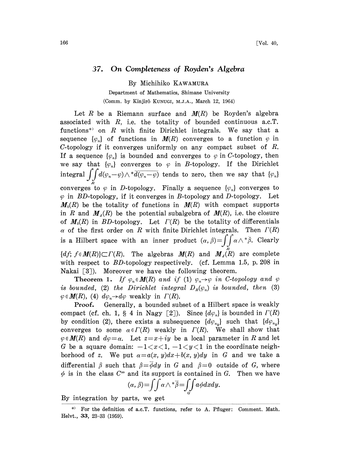## 37. On Completeness of Royden's Algebra

By Michihiko KAWAMURA

Department of Mathematics, Shimane University (Comm. by Kinjirô KUNUGI, M.J.A., March 12, 1964)

Let R be a Riemann surface and  $M(R)$  be Royden's algebra associated with  $R$ , i.e. the totality of bounded continuous a.c.  $T$ . functions\*' on  $R$  with finite Dirichlet integrals. We say that a sequence  $\{\varphi_n\}$  of functions in  $M(R)$  converges to a function  $\varphi$  in C-topology if it converges uniformly on any compact subset of  $R$ . If a sequence  $\{\varphi_n\}$  is bounded and converges to  $\varphi$  in C-topology, then we say that  $\{\varphi_n\}$  converges to  $\varphi$  in B-topology. If the Dirichlet integral  $\iint d(\varphi_n-\varphi)\wedge^* d\overline{(\varphi_n-\varphi)}$  tends to zero, then we say that  $\{\varphi_n\}$ converges to  $\varphi$  in D-topology. Finally a sequence  $\{\varphi_n\}$  converges to  $\varphi$  in BD-topology, if it converges in B-topology and D-topology. Let  $M_0(R)$  be the totality of functions in  $M(R)$  with compact supports in R and  $M_A(R)$  be the potential subalgebra of  $M(R)$ , i.e. the closure of  $M_0(R)$  in BD-topology. Let  $\Gamma(R)$  be the totality of differentials  $\alpha$  of the first order on R with finite Dirichlet integrals. Then  $\Gamma(R)$ is a Hilbert space with an inner product  $(\alpha, \beta) = \int\int \alpha \wedge^* \overline{\beta}$ . Clearly  ${df; f \in M(R)}\subset \Gamma(R)$ . The algebras  $M(R)$  and  $M_A(R)$  are complete with respect to *BD*-topology respectively. (cf. Lemma 1.5, p. 208 in Nakai  $\lceil 3 \rceil$ ). Moreover we have the following theorem.

**Theorem 1.** If  $\varphi_n \in M(R)$  and if (1)  $\varphi_n \rightarrow \varphi$  in C-topology and *unded*, (2) the *Dirichlet integral*  $D_R(\varphi_n)$  is bounded, then  $I(R)$ , (4)  $d\varphi_n \rightarrow d\varphi$  weakly in  $\Gamma(R)$ .<br>**Proof.** Generally, a bounded subset of a Hi is bounded, (2) the Dirichlet integral  $D_R(\varphi_n)$  is bounded, then (3)  $\varphi \in M(R)$ , (4)  $d\varphi_n \rightarrow d\varphi$  weakly in  $\Gamma(R)$ .

Proof. Generally, a bounded subset of a Hilbert space is weakly compact (cf. ch. 1, § 4 in Nagy [2]). Since  $\{d\varphi_n\}$  is bounded in  $\Gamma(R)$ by condition (2), there exists a subsequence  $\{d\varphi_{n_k}\}$  such that  $\{d\varphi_{n_k}\}$ converges to some  $\alpha \in \Gamma(R)$  weakly in  $\Gamma(R)$ . We shall show that  $\varphi \in M(R)$  and  $d\varphi = \alpha$ . Let  $z = x + iy$  be a local parameter in R and let G be a square domain:  $-1 < x < 1, -1 < y < 1$  in the coordinate neighborhood of z. We put  $\alpha=a(x, y)dx+b(x, y)dy$  in G and we take a differential  $\beta$  such that  $\beta=\overline{\phi}dy$  in G and  $\beta=0$  outside of G, where  $\phi$  is in the class  $C^{\infty}$  and its support is contained in G. Then we have

$$
(\alpha, \beta) = \iint \alpha \wedge \sqrt[*]{\beta} = \iint_{\alpha} \alpha \phi dx dy.
$$

By integration by parts, we get

<sup>\*)</sup> For the definition of a.c.T, functions, refer to A. Pfluger: Comment. Math. Helvt., 33, 23-33 (1959).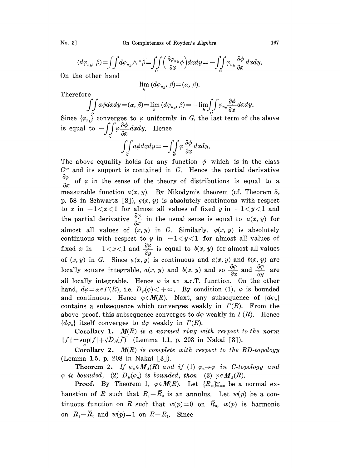$$
(d\varphi_{n_k}, \beta) = \iint d\varphi_{n_k} \wedge \sqrt[k]{\beta} = \iint_{\tilde{\sigma}} \left( \frac{\partial \varphi_{n_k}}{\partial x} \phi \right) dx dy = -\iint_{\tilde{\sigma}} \varphi_{n_k} \frac{\partial \phi}{\partial x} dx dy.
$$

On the other hand

$$
\lim_{k} (d\varphi_{n_k}, \beta) = (\alpha, \beta).
$$

Therefore

$$
\iint\limits_{\alpha} a\phi dx dy = (\alpha, \beta) = \lim_{k} (d\varphi_{n_k}, \beta) = -\lim_{k} \iint\limits_{\alpha} \varphi_{n_k} \frac{\partial \phi}{\partial x} dx dy.
$$

Since  $\{\varphi_{n_k}\}\$  converges to  $\varphi$  uniformly in G, the last term of the above is equal to  $-\int\int\limits_{S}\varphi\frac{\partial\phi}{\partial x}dxdy$ . Hence

$$
\iint\limits_{G} a\phi dx dy = -\iint\limits_{G} \varphi \frac{\partial \phi}{\partial x} dxdy.
$$

The above equality holds for any function  $\phi$  which is in the class  $C^{\infty}$  and its support is contained in G. Hence the partial derivative  $\frac{\partial \varphi}{\partial x}$  of  $\varphi$  in the sense of the theory of distributions is equal to a measurable function  $a(x, y)$ . By Nikodym's theorem (cf. Theorem 5, p. 58 in Schwartz [8]),  $\varphi(x, y)$  is absolutely continuous with respect to x in  $-1 < x < 1$  for almost all values of fixed y in  $-1 < y < 1$  and the partial derivative  $\frac{\partial \varphi}{\partial x}$  in the usual sense is equal to  $a(x, y)$  for almost all values of  $(x, y)$  in G. Similarly,  $\varphi(x, y)$  is absolutely continuous with respect to y in  $-1 < y < 1$  for almost all values of fixed x in  $-1 < x < 1$  and  $\frac{\partial \varphi}{\partial y}$  is equal to  $b(x, y)$  for almost all values of  $(x, y)$  in G. Since  $\varphi(x, y)$  is continuous and  $a(x, y)$  and  $b(x, y)$  are locally square integrable,  $a(x, y)$  and  $b(x, y)$  and so  $\frac{\partial \varphi}{\partial x}$  and  $\frac{\partial \varphi}{\partial y}$  are all locally integrable. Hence  $\varphi$  is an a.c. T. function. On the other hand,  $d\varphi = \alpha \in \Gamma(R)$ , i.e.  $D_R(\varphi) < +\infty$ . By condition (1),  $\varphi$  is bounded and continuous. Hence  $\varphi \in M(R)$ . Next, any subsequence of  $\{d\varphi_n\}$ contains a subsequence which converges weakly in  $\Gamma(R)$ . From the above proof, this subsequence converges to  $d\varphi$  weakly in  $\Gamma(R)$ . Hence  ${d\varphi_n}$  itself converges to  $d\varphi$  weakly in  $\Gamma(R)$ .

Corollary 1.  $M(R)$  is a normed ring with respect to the norm  $||f|| = \sup|f| + \sqrt{D_R(f)}$  (Lemma 1.1, p. 203 in Nakai [3]).

Corollary 2.  $M(R)$  is complete with respect to the BD-topology (Lemma 1.5, p. 208 in Nakai [3]).

**Theorem 2.** If  $\varphi_n \in M_A(R)$  and if (1)  $\varphi_n \to \varphi$  in C-topology and  $\varphi$  is bounded, (2)  $D_n(\varphi_n)$  is bounded, then (3)  $\varphi \in M_A(R)$ .

**Proof.** By Theorem 1,  $\varphi \in M(R)$ . Let  $\{R_m\}_{m=0}^{\infty}$  be a normal exhaustion of R such that  $R_1-\overline{R}_0$  is an annulus. Let  $w(p)$  be a continuous function on R such that  $w(p)=0$  on  $\overline{R}_0$ ,  $w(p)$  is harmonic on  $R_1-R_0$  and  $w(p)=1$  on  $R-R_1$ . Since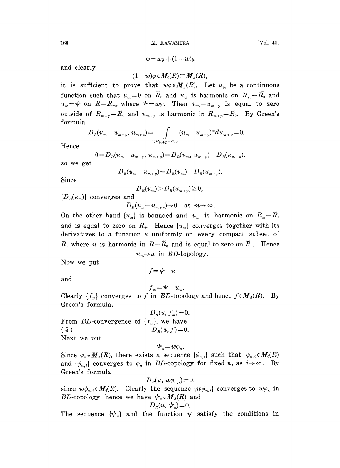168 M. KAWAMURA [Vol. 40,

 $\varphi=w\varphi+(1-w)\varphi$ 

and clearly

$$
(1-w)\varphi\in M_0(R){\subset M_4(R)},
$$

it is sufficient to prove that  $w\varphi \in M_A(R)$ . Let  $u_m$  be a continuous function such that  $u_m=0$  on  $\bar{R}_0$  and  $u_m$  is harmonic on  $R_m-\bar{R}_0$  and  $u_m = \psi$  on  $R-R_m$ , where  $\psi = w\varphi$ . Then  $u_m-u_{m+p}$  is equal to zero outside of  $R_{m+p}-\overline{R}_0$  and  $u_{m+p}$  is harmonic in  $R_{m+p}-\overline{R}_0$ . By Green's formula

$$
D_{R}(u_{m}-u_{m+p}, u_{m+p})=\int\limits_{\delta\langle R_{m+p}-R_{\emptyset}\rangle}(u_{m}-u_{m+p})^{*}du_{m+p}=0.
$$

Hence

$$
0=D_{R}(u_{m}-u_{m+p}, u_{m+p})=D_{R}(u_{m}, u_{m+p})-D_{R}(u_{m+p}),
$$

so we get

$$
D_{R}(u_{m}-u_{m+p})=D_{R}(u_{m})-D_{R}(u_{m+p}).
$$

Since

 $D_{R}(u_{m})\geq D_{R}(u_{m+n})\geq 0,$ 

 ${D_R(u_m)}$  converges and

 $D_R(u_m-u_{m+n})\to 0$  as  $m\to\infty$ .

On the other hand  $\{u_m\}$  is bounded and  $u_m$  is harmonic on  $R_m-\bar{R}_0$ and is equal to zero on  $\overline{R}_0$ . Hence  $\{u_m\}$  converges together with its derivatives to a function  $u$  uniformly on every compact subset of R, where u is harmonic in  $R-\bar{R}_0$  and is equal to zero on  $\bar{R}_0$ . Hence  $u_n \rightarrow u$  in *BD*-topology.

Now we put

 $f=\psi-u$ 

and

$$
f_m = \psi - u_m.
$$

Clearly  $\{f_m\}$  converges to f in BD-topology and hence  $f \in M_A(R)$ . By Green's formula,

 $D_R(u, f_m) = 0.$ From BD-convergence of  $\{f_m\}$ , we have ( 5 )  $D_R(u, f) = 0.$ Next we put

 $\Psi_n=w\varphi_n$ .

Since  $\varphi_n \in M_A(R)$ , there exists a sequence  $\{\phi_{n,i}\}\$  such that  $\phi_{n,i} \in M_0(R)$ and  $\{\phi_{n,i}\}\)$  converges to  $\phi_n$  in BD-topology for fixed n, as  $i\rightarrow\infty$ . By Green's formula

$$
D_{\scriptscriptstyle R}(u,\,w\phi_{\scriptscriptstyle n,\,i})\!=\!0,
$$

since  $w\phi_{n,i} \in M_0(R)$ . Clearly the sequence  $\{w\phi_{n,i}\}$  converges to  $w\phi_n$  in BD-topology, hence we have  $\psi_n \in M_A(R)$  and

$$
D_{\scriptscriptstyle R}(u,\, \psi_{\scriptscriptstyle n})\!=\!0.
$$

The sequence  $\{\psi_n\}$  and the function  $\psi$  satisfy the conditions in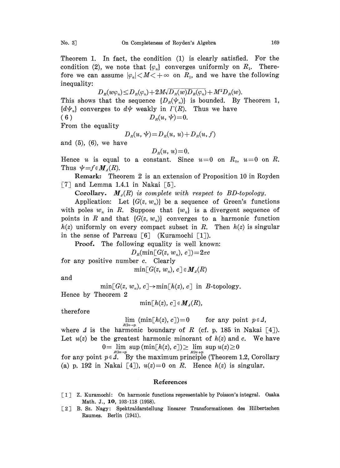fore we can assume  $|\varphi_n| < M < +\infty$  on  $R_1$ , and we have the following inequality:

 $D_{R}(w\varphi_{n})\leq D_{R}(\varphi_{n})+2M\sqrt{D_{R}(w)D_{R}(\varphi_{n})}+M^{2}D_{R}(w).$ This shows that the sequence  $\{D_n(\psi_n)\}\$ is bounded. By Theorem 1, This shows that the sequence  $\{D_R(\varphi_n)\}\)$  is bounded. By  $\{d\psi_n\}$  converges to  $d\psi$  weakly in  $\Gamma(R)$ . Thus we have (6)  $D_R(u, \psi) = 0.$ 

From the equality

$$
D_R(u, \Psi) = D_R(u, u) + D_R(u, f)
$$

and  $(5)$ ,  $(6)$ , we have

 $D_R(u, u) = 0.$ 

Hence u is equal to a constant. Since  $u=0$  on  $R_0$ ,  $u=0$  on R. Thus  $\psi = f \in M_A(R)$ .

Remark: Theorem 2 is an extension of Proposition 10 in Royden  $[7]$  and Lemma 1.4.1 in Nakai  $[5]$ .

Corollary.  $M_A(R)$  is complete with respect to BD-topology.

Application: Let  $\{G(z, w_n)\}\)$  be a sequence of Green's functions with poles  $w_n$  in R. Suppose that  $\{w_n\}$  is a divergent sequence of points in R and that  $\{G(z, w_n)\}$  converges to a harmonic function  $h(z)$  uniformly on every compact subset in R. Then  $h(z)$  is singular in the sense of Parreau  $\lceil 6 \rceil$  (Kuramochi  $\lceil 1 \rceil$ ).

Proof. The following equality is well known:

 $D_R(\min[ G(z, w_n), c])=2\pi c$ 

for any positive number c. Clearly

$$
\min\lbrack\,G(z,\,w_{_{n}}),\,c\,\rbrack\,\in\boldsymbol{M}_{\mathit{a}}(R)
$$

and

 $\min[G(z, w_n), c] \rightarrow \min[h(z), c]$  in B-topology.

Hence by Theorem 2

 $\min[h(z), c] \in M_{\lambda}(R),$ 

therefore

 $\lim_{R\ni z\to p}$  (min[h(z), c])=0 for any point  $p \in \Lambda$ ,

where  $\Delta$  is the harmonic boundary of R (cf. p. 185 in Nakai [4]). Let  $u(z)$  be the greatest harmonic minorant of  $h(z)$  and c. We have

 $0 = \lim_{R \ni x \to p} \sup_{R \ni x \to p} (\min[k(z), c]) \geq \lim_{R \ni x \to p} \sup_{R \in \mathcal{A}} u(z) \geq 0$ <br>for any point  $p \in \mathcal{A}$ . By the maximum principle (Theorem 1.2, Corollary (a) p. 192 in Nakai [4]),  $u(z)=0$  on R. Hence  $h(z)$  is singular.

## References

- [1] Z. Kuramochi: On harmonic functions representable by Poisson's integral. Osaka Math. J., 10, 103-118 (1958).
- [2] B. Sz. Nagy: Spektraldarstellung linearer Transformationen des Hilbertschen Raumes. Berlin (1941).